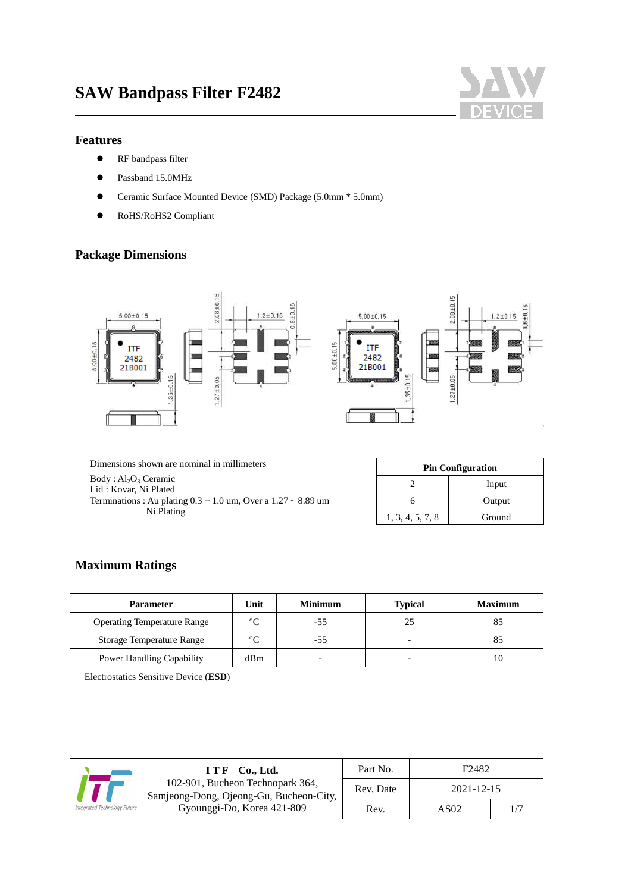

#### **Features**

- **•** RF bandpass filter
- Passband 15.0MHz
- Ceramic Surface Mounted Device (SMD) Package (5.0mm \* 5.0mm)
- RoHS/RoHS2 Compliant

#### **Package Dimensions**



Dimensions shown are nominal in millimeters

 $Body : Al<sub>2</sub>O<sub>3</sub> Ceramic$ Lid : Kovar, Ni Plated Terminations : Au plating 0.3 ~ 1.0 um, Over a 1.27 ~ 8.89 um Ni Plating

| <b>Pin Configuration</b> |        |  |  |
|--------------------------|--------|--|--|
| Input                    |        |  |  |
| Output<br>6              |        |  |  |
| 1, 3, 4, 5, 7, 8         | Ground |  |  |

#### **Maximum Ratings**

| Parameter                          | Unit    | <b>Minimum</b>           | <b>Typical</b>           | <b>Maximum</b> |
|------------------------------------|---------|--------------------------|--------------------------|----------------|
| <b>Operating Temperature Range</b> | $\circ$ | -55                      | 25                       |                |
| <b>Storage Temperature Range</b>   | $\sim$  | -55                      | $\overline{\phantom{0}}$ |                |
| Power Handling Capability          | dBm     | $\overline{\phantom{0}}$ | $\overline{\phantom{0}}$ | 10             |

Electrostatics Sensitive Device (**ESD**)

|                                                                             | Co., Ltd.<br>ITF           | Part No.   | F <sub>2482</sub> |    |
|-----------------------------------------------------------------------------|----------------------------|------------|-------------------|----|
| 102-901, Bucheon Technopark 364,<br>Samjeong-Dong, Ojeong-Gu, Bucheon-City, | Rev. Date                  | 2021-12-15 |                   |    |
| Integrated Technology Future                                                | Gyounggi-Do, Korea 421-809 | Rev.       | AS <sub>02</sub>  | 1/ |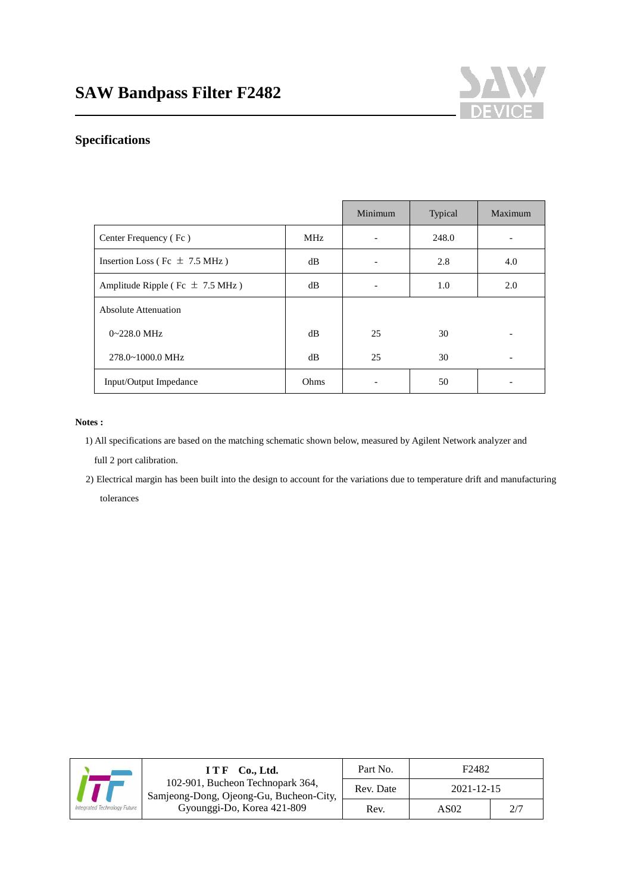

### **Specifications**

|                                     |                 | Minimum | Typical | Maximum |
|-------------------------------------|-----------------|---------|---------|---------|
| Center Frequency (Fc)               | MH <sub>z</sub> |         | 248.0   |         |
| Insertion Loss (Fc $\pm$ 7.5 MHz)   | dB              |         | 2.8     | 4.0     |
| Amplitude Ripple (Fc $\pm$ 7.5 MHz) | dB              |         | 1.0     | 2.0     |
| Absolute Attenuation                |                 |         |         |         |
| $0 - 228.0$ MHz                     | dB              | 25      | 30      |         |
| 278.0~1000.0 MHz                    | dB              | 25      | 30      |         |
| Input/Output Impedance              | Ohms            |         | 50      |         |

#### **Notes :**

 1) All specifications are based on the matching schematic shown below, measured by Agilent Network analyzer and full 2 port calibration.

2) Electrical margin has been built into the design to account for the variations due to temperature drift and manufacturing tolerances

|                                                                             | $I T F$ Co., Ltd.          | Part No.   | F <sub>2482</sub> |     |
|-----------------------------------------------------------------------------|----------------------------|------------|-------------------|-----|
| 102-901, Bucheon Technopark 364,<br>Samjeong-Dong, Ojeong-Gu, Bucheon-City, | Rev. Date                  | 2021-12-15 |                   |     |
| Integrated Technology Future                                                | Gyounggi-Do, Korea 421-809 | Rev.       | AS02              | 2/7 |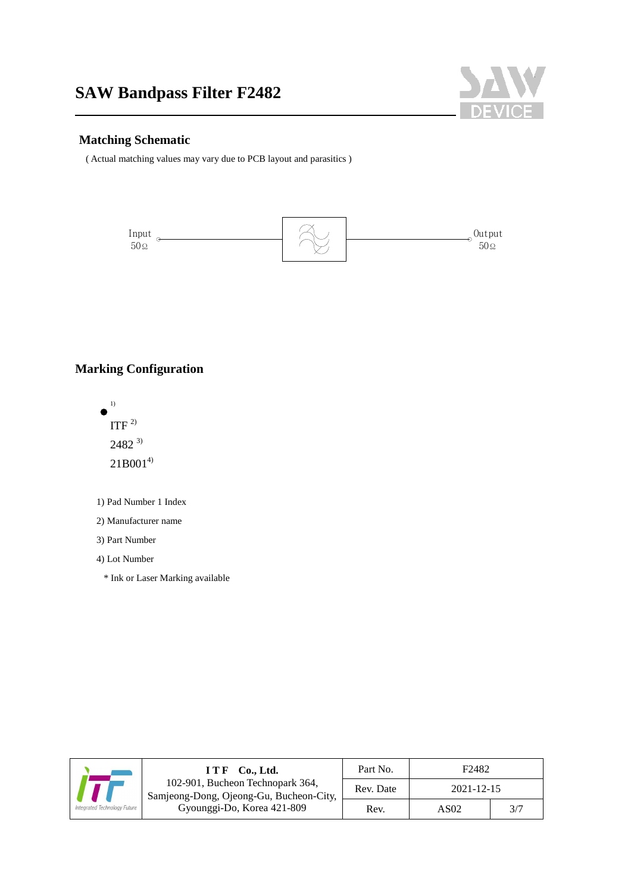

#### **Matching Schematic**

( Actual matching values may vary due to PCB layout and parasitics )



### **Marking Configuration**



- 1) Pad Number 1 Index
- 2) Manufacturer name

3) Part Number

4) Lot Number

\* Ink or Laser Marking available

|                                                                             | Co., Ltd.<br><b>ITF</b>    | Part No.   | F <sub>2482</sub> |     |
|-----------------------------------------------------------------------------|----------------------------|------------|-------------------|-----|
| 102-901, Bucheon Technopark 364,<br>Samjeong-Dong, Ojeong-Gu, Bucheon-City, | Rev. Date                  | 2021-12-15 |                   |     |
| Integrated Technology Future                                                | Gyounggi-Do, Korea 421-809 | Rev.       | AS <sub>02</sub>  | 3/7 |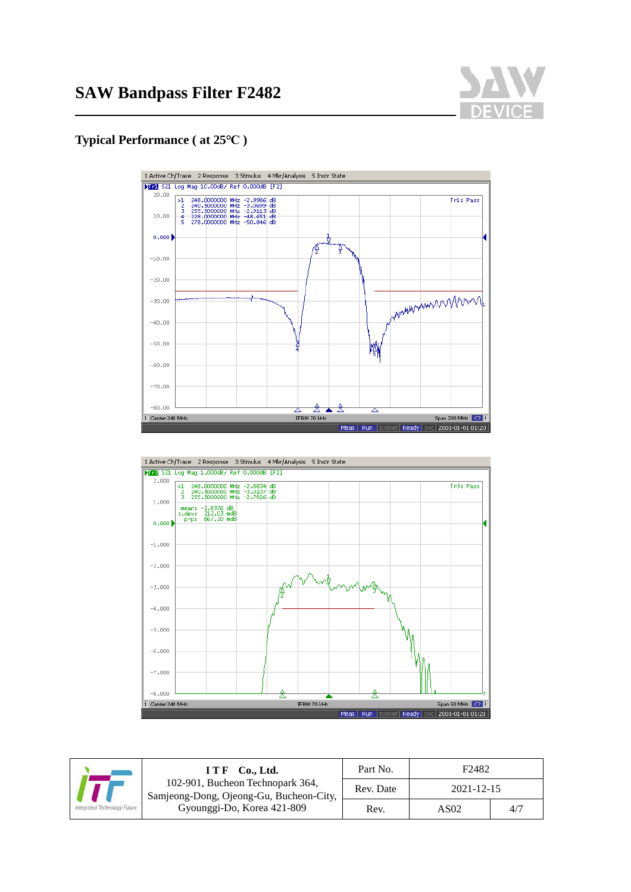

#### **Typical Performance ( at 25℃ )**





|                                                                             | ITF Co., Ltd.              | Part No.         | F <sub>2482</sub> |     |
|-----------------------------------------------------------------------------|----------------------------|------------------|-------------------|-----|
| 102-901, Bucheon Technopark 364,<br>Samjeong-Dong, Ojeong-Gu, Bucheon-City, | Rev. Date                  | $2021 - 12 - 15$ |                   |     |
| ntegrated Technology Future                                                 | Gyounggi-Do, Korea 421-809 | Rev.             | AS <sub>02</sub>  | 4/7 |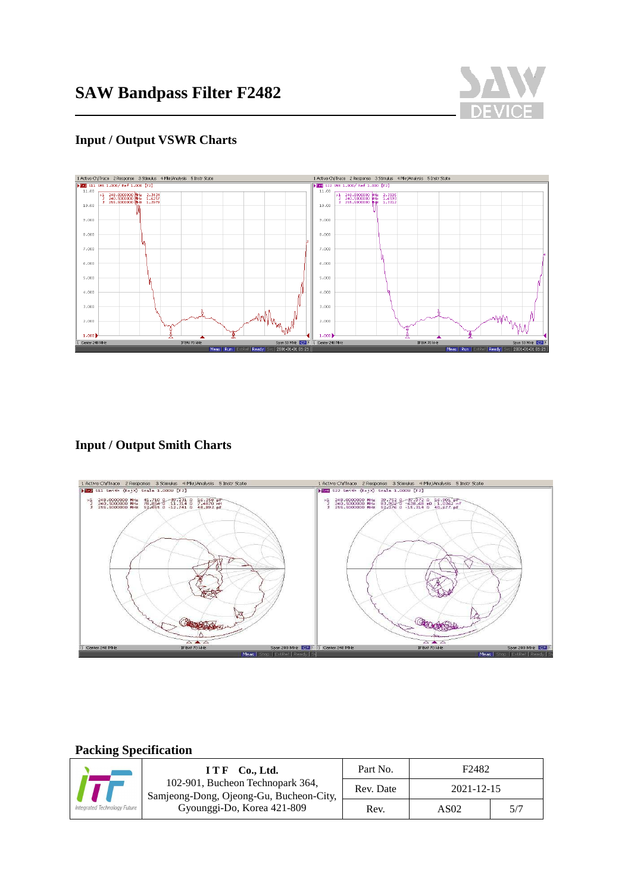

## **Input / Output VSWR Charts**



### **Input / Output Smith Charts**



### **Packing Specification**

J

| $ITF$ Co., Ltd.<br>102-901, Bucheon Technopark 364,<br>Samjeong-Dong, Ojeong-Gu, Bucheon-City, | Part No.                   | F <sub>2482</sub> |      |     |
|------------------------------------------------------------------------------------------------|----------------------------|-------------------|------|-----|
|                                                                                                | Rev. Date                  | 2021-12-15        |      |     |
| tegrated Technology Future                                                                     | Gyounggi-Do, Korea 421-809 | Rev.              | AS02 | 5/7 |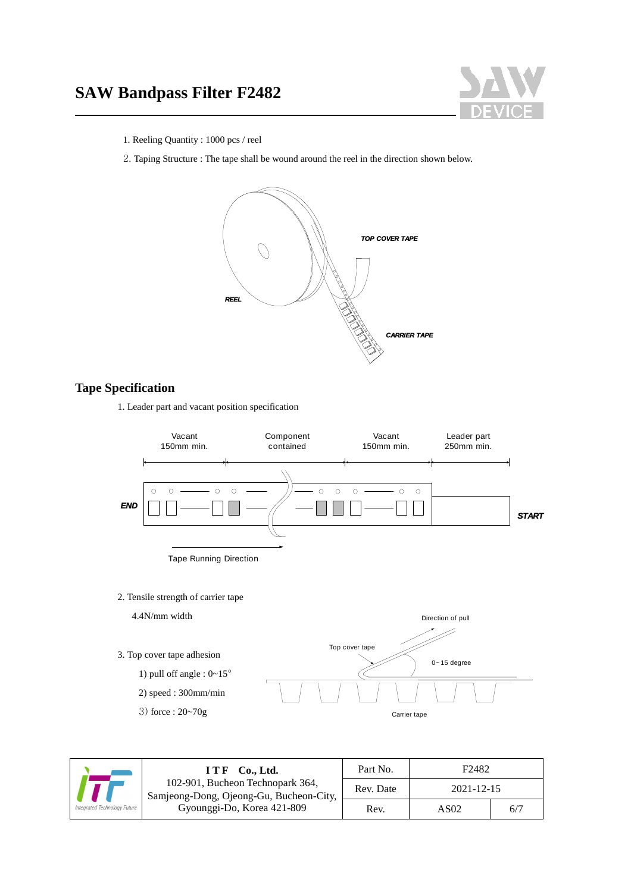# **SAW Bandpass Filter F2482**



- 1. Reeling Quantity : 1000 pcs / reel
- 2. Taping Structure : The tape shall be wound around the reel in the direction shown below.



#### **Tape Specification**

1. Leader part and vacant position specification





|                                                                             | ITF Co., Ltd.              | Part No.   | F <sub>2482</sub> |     |
|-----------------------------------------------------------------------------|----------------------------|------------|-------------------|-----|
| 102-901, Bucheon Technopark 364,<br>Samjeong-Dong, Ojeong-Gu, Bucheon-City, | Rev. Date                  | 2021-12-15 |                   |     |
| tegrated Technology Future                                                  | Gyounggi-Do, Korea 421-809 | Rev.       | AS <sub>02</sub>  | 6/7 |